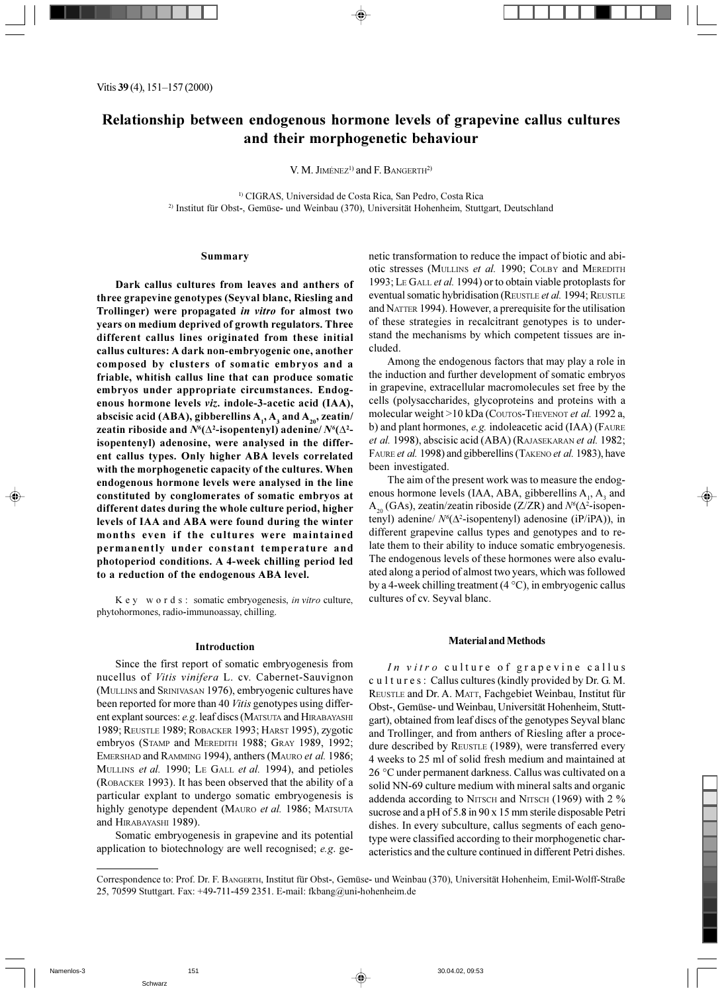V. M. JIMÉNEZ<sup>1)</sup> and F. BANGERTH<sup>2)</sup>

<sup>1)</sup> CIGRAS, Universidad de Costa Rica, San Pedro, Costa Rica <sup>2)</sup> Institut für Obst-, Gemüse- und Weinbau (370), Universität Hohenheim, Stuttgart, Deutschland

# Summary

Dark callus cultures from leaves and anthers of three grapevine genotypes (Seyval blanc, Riesling and Trollinger) were propagated in vitro for almost two years on medium deprived of growth regulators. Three different callus lines originated from these initial callus cultures: A dark non-embryogenic one, another composed by clusters of somatic embryos and a friable, whitish callus line that can produce somatic embryos under appropriate circumstances. Endogenous hormone levels viz. indole-3-acetic acid (IAA), abscisic acid (ABA), gibberellins  $A_1$ ,  $A_3$  and  $A_{20}$ , zeatin/ zeatin riboside and  $N^6(\Delta^2$ -isopentenyl) adenine/ $N^6(\Delta^2$ isopentenyl) adenosine, were analysed in the different callus types. Only higher ABA levels correlated with the morphogenetic capacity of the cultures. When endogenous hormone levels were analysed in the line constituted by conglomerates of somatic embryos at different dates during the whole culture period, higher levels of IAA and ABA were found during the winter months even if the cultures were maintained permanently under constant temperature and photoperiod conditions. A 4-week chilling period led to a reduction of the endogenous ABA level.

K e y w o r d s : somatic embryogenesis, in vitro culture, phytohormones, radio-immunoassay, chilling.

#### Introduction

Since the first report of somatic embryogenesis from nucellus of Vitis vinifera L. cv. Cabernet-Sauvignon (MULLINS and SRINIVASAN 1976), embryogenic cultures have been reported for more than 40 Vitis genotypes using different explant sources: e.g. leaf discs (MATSUTA and HIRABAYASHI 1989; REUSTLE 1989; ROBACKER 1993; HARST 1995), zygotic embryos (STAMP and MEREDITH 1988; GRAY 1989, 1992; EMERSHAD and RAMMING 1994), anthers (MAURO et al. 1986; MULLINS et al. 1990; LE GALL et al. 1994), and petioles (ROBACKER 1993). It has been observed that the ability of a particular explant to undergo somatic embryogenesis is highly genotype dependent (MAURO et al. 1986; MATSUTA and HIRABAYASHI 1989).

Somatic embryogenesis in grapevine and its potential application to biotechnology are well recognised; e.g. genetic transformation to reduce the impact of biotic and abiotic stresses (MULLINS et al. 1990; COLBY and MEREDITH 1993; LE GALL et al. 1994) or to obtain viable protoplasts for eventual somatic hybridisation (REUSTLE et al. 1994; REUSTLE and NATTER 1994). However, a prerequisite for the utilisation of these strategies in recalcitrant genotypes is to understand the mechanisms by which competent tissues are included.

Among the endogenous factors that may play a role in the induction and further development of somatic embryos in grapevine, extracellular macromolecules set free by the cells (polysaccharides, glycoproteins and proteins with a molecular weight >10 kDa (COUTOS-THEVENOT et al. 1992 a, b) and plant hormones, e.g. indoleacetic acid (IAA) (FAURE et al. 1998), abscisic acid (ABA) (RAJASEKARAN et al. 1982; FAURE et al. 1998) and gibberellins (TAKENO et al. 1983), have been investigated.

The aim of the present work was to measure the endogenous hormone levels (IAA, ABA, gibberellins A<sub>1</sub>, A<sub>3</sub> and  $A_{20}$  (GAs), zeatin/zeatin riboside (Z/ZR) and  $N^{6}(\Delta^{2}$ -isopentenyl) adenine/  $N^{6}(\Delta^{2}$ -isopentenyl) adenosine (iP/iPA)), in different grapevine callus types and genotypes and to relate them to their ability to induce somatic embryogenesis. The endogenous levels of these hormones were also evaluated along a period of almost two years, which was followed by a 4-week chilling treatment (4  $\degree$ C), in embryogenic callus cultures of cv. Seyval blanc.

#### **Material and Methods**

In vitro culture of grapevine callus cultures: Callus cultures (kindly provided by Dr. G. M. REUSTLE and Dr. A. MATT, Fachgebiet Weinbau, Institut für Obst-, Gemüse- und Weinbau, Universität Hohenheim, Stuttgart), obtained from leaf discs of the genotypes Seyval blanc and Trollinger, and from anthers of Riesling after a procedure described by REUSTLE (1989), were transferred every 4 weeks to 25 ml of solid fresh medium and maintained at 26 °C under permanent darkness. Callus was cultivated on a solid NN-69 culture medium with mineral salts and organic addenda according to NITSCH and NITSCH (1969) with 2 % sucrose and a pH of 5.8 in 90 x 15 mm sterile disposable Petri dishes. In every subculture, callus segments of each genotype were classified according to their morphogenetic characteristics and the culture continued in different Petri dishes.

⊕

Correspondence to: Prof. Dr. F. BANGERTH, Institut für Obst-, Gemüse- und Weinbau (370), Universität Hohenheim, Emil-Wolff-Straße 25, 70599 Stuttgart. Fax: +49-711-459 2351. E-mail: fkbang@uni-hohenheim.de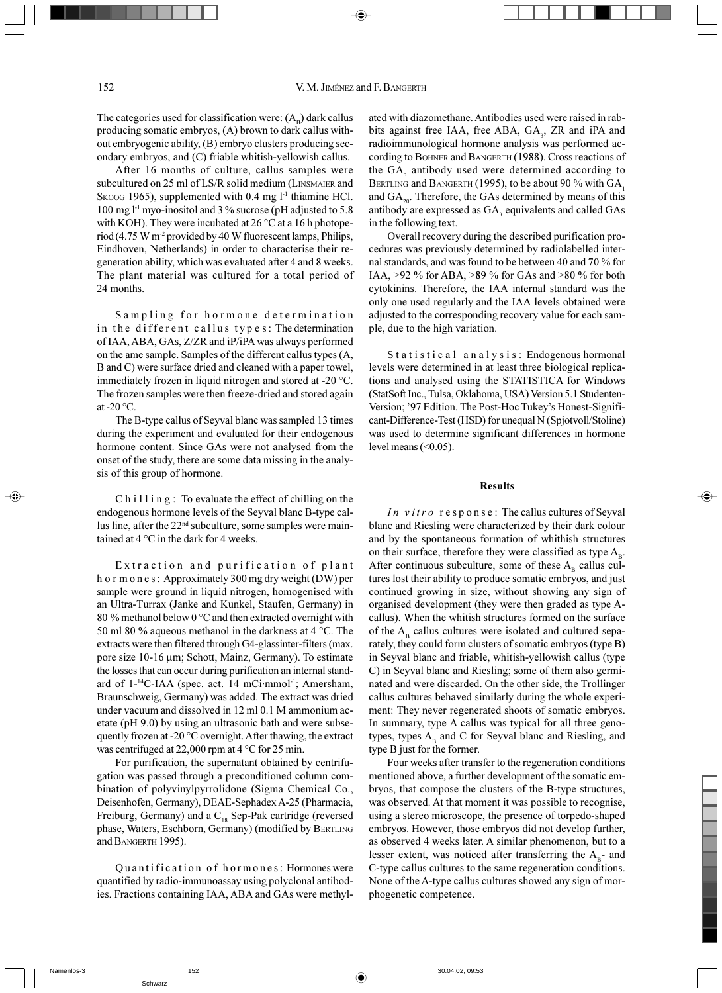The categories used for classification were:  $(A_n)$  dark callus producing somatic embryos, (A) brown to dark callus without embryogenic ability, (B) embryo clusters producing secondary embryos, and (C) friable whitish-yellowish callus.

After 16 months of culture, callus samples were subcultured on 25 ml of LS/R solid medium (LINSMAIER and Skoog 1965), supplemented with 0.4 mg l<sup>-1</sup> thiamine HCl. 100 mg l<sup>-1</sup> myo-inositol and 3 % sucrose (pH adjusted to 5.8 with KOH). They were incubated at  $26^{\circ}$ C at a 16 h photoperiod (4.75 W m<sup>-2</sup> provided by 40 W fluorescent lamps, Philips, Eindhoven, Netherlands) in order to characterise their regeneration ability, which was evaluated after 4 and 8 weeks. The plant material was cultured for a total period of 24 months.

Sampling for hormone determination in the different callus types: The determination of IAA, ABA, GAs, Z/ZR and iP/iPA was always performed on the ame sample. Samples of the different callus types (A, B and C) were surface dried and cleaned with a paper towel. immediately frozen in liquid nitrogen and stored at -20 °C. The frozen samples were then freeze-dried and stored again at -20 $\,^{\circ}$ C.

The B-type callus of Seyval blanc was sampled 13 times during the experiment and evaluated for their endogenous hormone content. Since GAs were not analysed from the onset of the study, there are some data missing in the analysis of this group of hormone.

 $C$  h i l l i n g : To evaluate the effect of chilling on the endogenous hormone levels of the Seyval blanc B-type callus line, after the 22<sup>nd</sup> subculture, some samples were maintained at 4 °C in the dark for 4 weeks.

Extraction and purification of plant h o r m o n e s : Approximately 300 mg dry weight (DW) per sample were ground in liquid nitrogen, homogenised with an Ultra-Turrax (Janke and Kunkel, Staufen, Germany) in 80 % methanol below 0 °C and then extracted overnight with 50 ml 80 % aqueous methanol in the darkness at 4  $\degree$ C. The extracts were then filtered through G4-glassinter-filters (max. pore size 10-16 μm; Schott, Mainz, Germany). To estimate the losses that can occur during purification an internal standard of 1-<sup>14</sup>C-IAA (spec. act. 14 mCi·mmol<sup>-1</sup>; Amersham, Braunschweig, Germany) was added. The extract was dried under vacuum and dissolved in 12 ml 0.1 M ammonium acetate (pH 9.0) by using an ultrasonic bath and were subsequently frozen at -20 $\degree$ C overnight. After thawing, the extract was centrifuged at 22,000 rpm at 4  $\degree$ C for 25 min.

For purification, the supernatant obtained by centrifugation was passed through a preconditioned column combination of polyvinylpyrrolidone (Sigma Chemical Co., Deisenhofen, Germany), DEAE-Sephadex A-25 (Pharmacia, Freiburg, Germany) and a  $C_{18}$  Sep-Pak cartridge (reversed phase, Waters, Eschborn, Germany) (modified by BERTLING and BANGERTH 1995).

Quantification of hormones: Hormones were quantified by radio-immunoassay using polyclonal antibodies. Fractions containing IAA, ABA and GAs were methylated with diazomethane. Antibodies used were raised in rabbits against free IAA, free ABA, GA,, ZR and iPA and radioimmunological hormone analysis was performed according to BOHNER and BANGERTH (1988). Cross reactions of the GA, antibody used were determined according to BERTLING and BANGERTH (1995), to be about 90 % with GA, and  $GA_{20}$ . Therefore, the GAs determined by means of this antibody are expressed as GA<sub>3</sub> equivalents and called GAs in the following text.

Overall recovery during the described purification procedures was previously determined by radiolabelled internal standards, and was found to be between 40 and 70 % for IAA, >92 % for ABA, >89 % for GAs and >80 % for both cytokinins. Therefore, the IAA internal standard was the only one used regularly and the IAA levels obtained were adjusted to the corresponding recovery value for each sample, due to the high variation.

Statistical analysis: Endogenous hormonal levels were determined in at least three biological replications and analysed using the STATISTICA for Windows (StatSoft Inc., Tulsa, Oklahoma, USA) Version 5.1 Studenten-Version; '97 Edition. The Post-Hoc Tukey's Honest-Significant-Difference-Test (HSD) for unequal N (Spiotvoll/Stoline) was used to determine significant differences in hormone level means  $( $0.05$ ).$ 

## **Results**

In vitro response: The callus cultures of Seyval blanc and Riesling were characterized by their dark colour and by the spontaneous formation of whithish structures on their surface, therefore they were classified as type  $A_{n}$ . After continuous subculture, some of these  $A<sub>B</sub>$  callus cultures lost their ability to produce somatic embryos, and just continued growing in size, without showing any sign of organised development (they were then graded as type Acallus). When the whitish structures formed on the surface of the  $A_{p}$  callus cultures were isolated and cultured separately, they could form clusters of somatic embryos (type B) in Seyval blanc and friable, whitish-yellowish callus (type C) in Seyval blanc and Riesling; some of them also germinated and were discarded. On the other side, the Trollinger callus cultures behaved similarly during the whole experiment: They never regenerated shoots of somatic embryos. In summary, type A callus was typical for all three genotypes, types  $A_{B}$  and C for Seyval blanc and Riesling, and type B just for the former.

Four weeks after transfer to the regeneration conditions mentioned above, a further development of the somatic embryos, that compose the clusters of the B-type structures, was observed. At that moment it was possible to recognise, using a stereo microscope, the presence of torpedo-shaped embryos. However, those embryos did not develop further, as observed 4 weeks later. A similar phenomenon, but to a lesser extent, was noticed after transferring the  $A_{B}$ - and C-type callus cultures to the same regeneration conditions. None of the A-type callus cultures showed any sign of morphogenetic competence.

## 152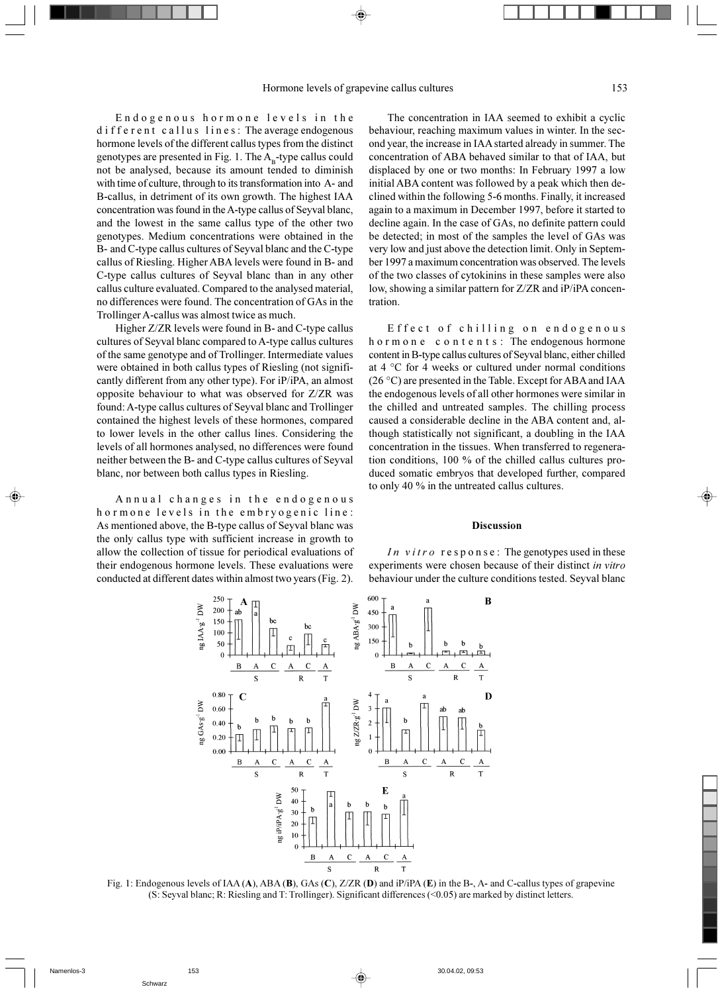Endogenous hormone levels in the different callus lines: The average endogenous hormone levels of the different callus types from the distinct genotypes are presented in Fig. 1. The  $A<sub>n</sub>$ -type callus could not be analysed, because its amount tended to diminish with time of culture, through to its transformation into A- and B-callus, in detriment of its own growth. The highest IAA concentration was found in the A-type callus of Seyval blanc, and the lowest in the same callus type of the other two genotypes. Medium concentrations were obtained in the B- and C-type callus cultures of Seyval blanc and the C-type callus of Riesling. Higher ABA levels were found in B- and C-type callus cultures of Seyval blanc than in any other callus culture evaluated. Compared to the analysed material, no differences were found. The concentration of GAs in the Trollinger A-callus was almost twice as much.

Higher Z/ZR levels were found in B- and C-type callus cultures of Seyval blanc compared to A-type callus cultures of the same genotype and of Trollinger. Intermediate values were obtained in both callus types of Riesling (not significantly different from any other type). For iP/iPA, an almost opposite behaviour to what was observed for Z/ZR was found: A-type callus cultures of Seyval blanc and Trollinger contained the highest levels of these hormones, compared to lower levels in the other callus lines. Considering the levels of all hormones analysed, no differences were found neither between the B- and C-type callus cultures of Seyval blanc, nor between both callus types in Riesling.

Annual changes in the endogenous hormone levels in the embryogenic line: As mentioned above, the B-type callus of Seyval blanc was the only callus type with sufficient increase in growth to allow the collection of tissue for periodical evaluations of their endogenous hormone levels. These evaluations were conducted at different dates within almost two years (Fig. 2).

The concentration in IAA seemed to exhibit a cyclic behaviour, reaching maximum values in winter. In the second year, the increase in IAA started already in summer. The concentration of ABA behaved similar to that of IAA, but displaced by one or two months: In February 1997 a low initial ABA content was followed by a peak which then declined within the following 5-6 months. Finally, it increased again to a maximum in December 1997, before it started to decline again. In the case of GAs, no definite pattern could be detected; in most of the samples the level of GAs was very low and just above the detection limit. Only in September 1997 a maximum concentration was observed. The levels of the two classes of cytokinins in these samples were also low, showing a similar pattern for Z/ZR and iP/iPA concentration.

Effect of chilling on endogenous hormone contents: The endogenous hormone content in B-type callus cultures of Seyval blanc, either chilled at 4 °C for 4 weeks or cultured under normal conditions (26 °C) are presented in the Table. Except for ABA and IAA the endogenous levels of all other hormones were similar in the chilled and untreated samples. The chilling process caused a considerable decline in the ABA content and, although statistically not significant, a doubling in the IAA concentration in the tissues. When transferred to regeneration conditions, 100 % of the chilled callus cultures produced somatic embryos that developed further, compared to only 40 % in the untreated callus cultures.

## **Discussion**

In vitro  $r \in s$  p on se: The genotypes used in these experiments were chosen because of their distinct in vitro behaviour under the culture conditions tested. Seyval blanc



Fig. 1: Endogenous levels of IAA (A), ABA (B), GAs (C), Z/ZR (D) and iP/iPA (E) in the B-, A- and C-callus types of grapevine (S: Seyval blanc; R: Riesling and T: Trollinger). Significant differences (<0.05) are marked by distinct letters.

◈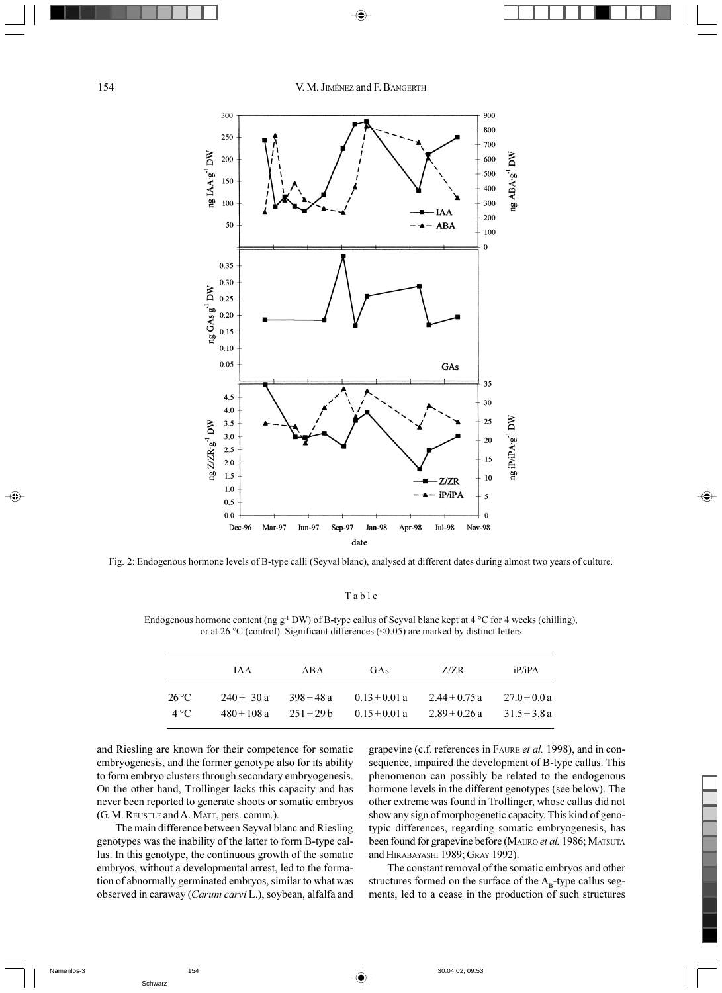V. M. JIMÉNEZ and F. BANGERTH



Fig. 2: Endogenous hormone levels of B-type calli (Seyval blanc), analysed at different dates during almost two years of culture.

Table

Endogenous hormone content (ng g<sup>-1</sup> DW) of B-type callus of Seyval blanc kept at 4  $\rm{^{\circ}C}$  for 4 weeks (chilling), or at 26 °C (control). Significant differences (<0.05) are marked by distinct letters

|              | IA A            | ABA            | GAS               | Z/ZR              | iP/iPA           |
|--------------|-----------------|----------------|-------------------|-------------------|------------------|
| 26 °C        | $240 \pm 30 a$  | $398 \pm 48a$  | $0.13 \pm 0.01$ a | $2.44 \pm 0.75$ a | $27.0 \pm 0.0 a$ |
| $4^{\circ}C$ | $480 \pm 108 a$ | $251 \pm 29$ b | $0.15 \pm 0.01$ a | $2.89 \pm 0.26$ a | $31.5 \pm 3.8 a$ |

◈

and Riesling are known for their competence for somatic embryogenesis, and the former genotype also for its ability to form embryo clusters through secondary embryogenesis. On the other hand, Trollinger lacks this capacity and has never been reported to generate shoots or somatic embryos (G. M. REUSTLE and A. MATT, pers. comm.).

The main difference between Seyval blanc and Riesling genotypes was the inability of the latter to form B-type callus. In this genotype, the continuous growth of the somatic embryos, without a developmental arrest, led to the formation of abnormally germinated embryos, similar to what was observed in caraway (Carum carvi L.), soybean, alfalfa and

grapevine (c.f. references in FAURE et al. 1998), and in consequence, impaired the development of B-type callus. This phenomenon can possibly be related to the endogenous hormone levels in the different genotypes (see below). The other extreme was found in Trollinger, whose callus did not show any sign of morphogenetic capacity. This kind of genotypic differences, regarding somatic embryogenesis, has been found for grapevine before (MAURO et al. 1986; MATSUTA and HIRABAYASHI 1989; GRAY 1992).

The constant removal of the somatic embryos and other structures formed on the surface of the  $A_B$ -type callus segments, led to a cease in the production of such structures

154

 $\bigoplus$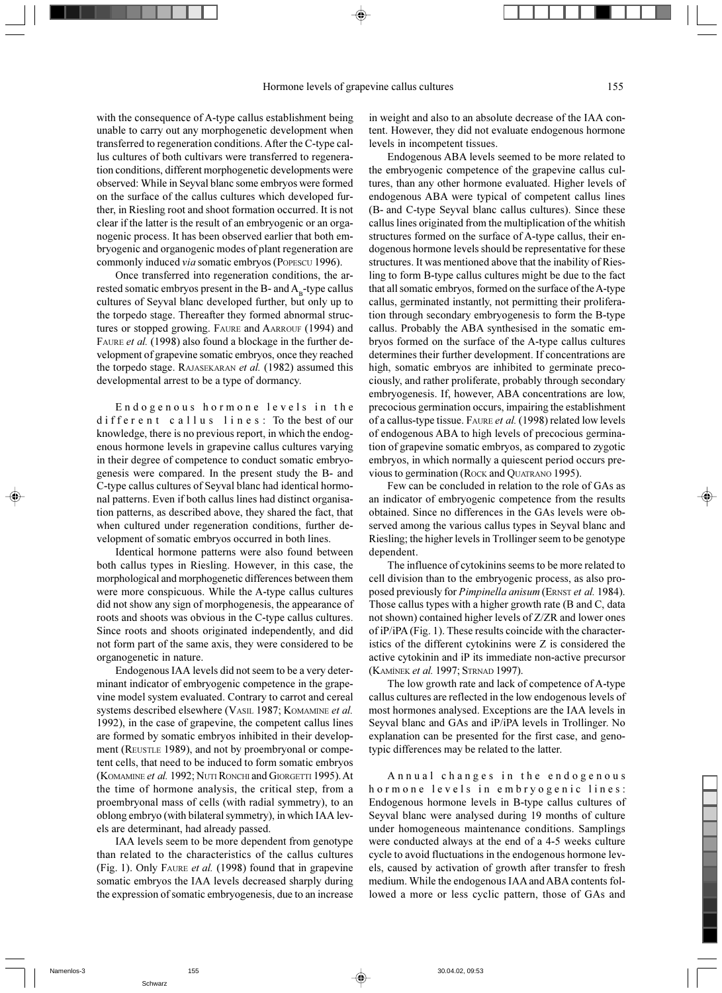with the consequence of A-type callus establishment being unable to carry out any morphogenetic development when transferred to regeneration conditions. After the C-type callus cultures of both cultivars were transferred to regeneration conditions, different morphogenetic developments were observed: While in Seyval blanc some embryos were formed on the surface of the callus cultures which developed further, in Riesling root and shoot formation occurred. It is not clear if the latter is the result of an embryogenic or an organogenic process. It has been observed earlier that both embryogenic and organogenic modes of plant regeneration are commonly induced *via* somatic embryos (POPESCU 1996).

Once transferred into regeneration conditions, the arrested somatic embryos present in the B- and  $A<sub>B</sub>$ -type callus cultures of Seyval blanc developed further, but only up to the torpedo stage. Thereafter they formed abnormal structures or stopped growing. FAURE and AARROUF (1994) and FAURE et al. (1998) also found a blockage in the further development of grapevine somatic embryos, once they reached the torpedo stage. RAJASEKARAN et al. (1982) assumed this developmental arrest to be a type of dormancy.

Endogenous hormone levels in the different callus lines: To the best of our knowledge, there is no previous report, in which the endogenous hormone levels in grapevine callus cultures varying in their degree of competence to conduct somatic embryogenesis were compared. In the present study the B- and C-type callus cultures of Seyval blanc had identical hormonal patterns. Even if both callus lines had distinct organisation patterns, as described above, they shared the fact, that when cultured under regeneration conditions, further development of somatic embryos occurred in both lines.

Identical hormone patterns were also found between both callus types in Riesling. However, in this case, the morphological and morphogenetic differences between them were more conspicuous. While the A-type callus cultures did not show any sign of morphogenesis, the appearance of roots and shoots was obvious in the C-type callus cultures. Since roots and shoots originated independently, and did not form part of the same axis, they were considered to be organogenetic in nature.

Endogenous IAA levels did not seem to be a very determinant indicator of embryogenic competence in the grapevine model system evaluated. Contrary to carrot and cereal systems described elsewhere (VASIL 1987; KOMAMINE et al. 1992), in the case of grapevine, the competent callus lines are formed by somatic embryos inhibited in their development (REUSTLE 1989), and not by proembryonal or competent cells, that need to be induced to form somatic embryos (KOMAMINE et al. 1992; NUTI RONCHI and GIORGETTI 1995). At the time of hormone analysis, the critical step, from a proembryonal mass of cells (with radial symmetry), to an oblong embryo (with bilateral symmetry), in which IAA levels are determinant, had already passed.

IAA levels seem to be more dependent from genotype than related to the characteristics of the callus cultures (Fig. 1). Only FAURE et al. (1998) found that in grapevine somatic embryos the IAA levels decreased sharply during the expression of somatic embryogenesis, due to an increase in weight and also to an absolute decrease of the IAA content. However, they did not evaluate endogenous hormone levels in incompetent tissues.

Endogenous ABA levels seemed to be more related to the embryogenic competence of the grapevine callus cultures, than any other hormone evaluated. Higher levels of endogenous ABA were typical of competent callus lines (B- and C-type Seyval blanc callus cultures). Since these callus lines originated from the multiplication of the whitish structures formed on the surface of A-type callus, their endogenous hormone levels should be representative for these structures. It was mentioned above that the inability of Riesling to form B-type callus cultures might be due to the fact that all somatic embryos, formed on the surface of the A-type callus, germinated instantly, not permitting their proliferation through secondary embryogenesis to form the B-type callus. Probably the ABA synthesised in the somatic embryos formed on the surface of the A-type callus cultures determines their further development. If concentrations are high, somatic embryos are inhibited to germinate precociously, and rather proliferate, probably through secondary embryogenesis. If, however, ABA concentrations are low, precocious germination occurs, impairing the establishment of a callus-type tissue. FAURE et al. (1998) related low levels of endogenous ABA to high levels of precocious germination of grapevine somatic embryos, as compared to zygotic embryos, in which normally a quiescent period occurs previous to germination (ROCK and QUATRANO 1995).

Few can be concluded in relation to the role of GAs as an indicator of embryogenic competence from the results obtained. Since no differences in the GAs levels were observed among the various callus types in Seyval blanc and Riesling; the higher levels in Trollinger seem to be genotype dependent.

The influence of cytokinins seems to be more related to cell division than to the embryogenic process, as also proposed previously for *Pimpinella anisum* (ERNST et al. 1984). Those callus types with a higher growth rate (B and C, data not shown) contained higher levels of Z/ZR and lower ones of iP/iPA (Fig. 1). These results coincide with the characteristics of the different cytokinins were Z is considered the active cytokinin and iP its immediate non-active precursor (KAMÍNEK et al. 1997; STRNAD 1997).

The low growth rate and lack of competence of A-type callus cultures are reflected in the low endogenous levels of most hormones analysed. Exceptions are the IAA levels in Seyval blanc and GAs and iP/iPA levels in Trollinger. No explanation can be presented for the first case, and genotypic differences may be related to the latter.

Annual changes in the endogenous hormone levels in embryogenic lines: Endogenous hormone levels in B-type callus cultures of Seyval blanc were analysed during 19 months of culture under homogeneous maintenance conditions. Samplings were conducted always at the end of a 4-5 weeks culture cycle to avoid fluctuations in the endogenous hormone levels, caused by activation of growth after transfer to fresh medium. While the endogenous IAA and ABA contents followed a more or less cyclic pattern, those of GAs and

Schwarz

⊕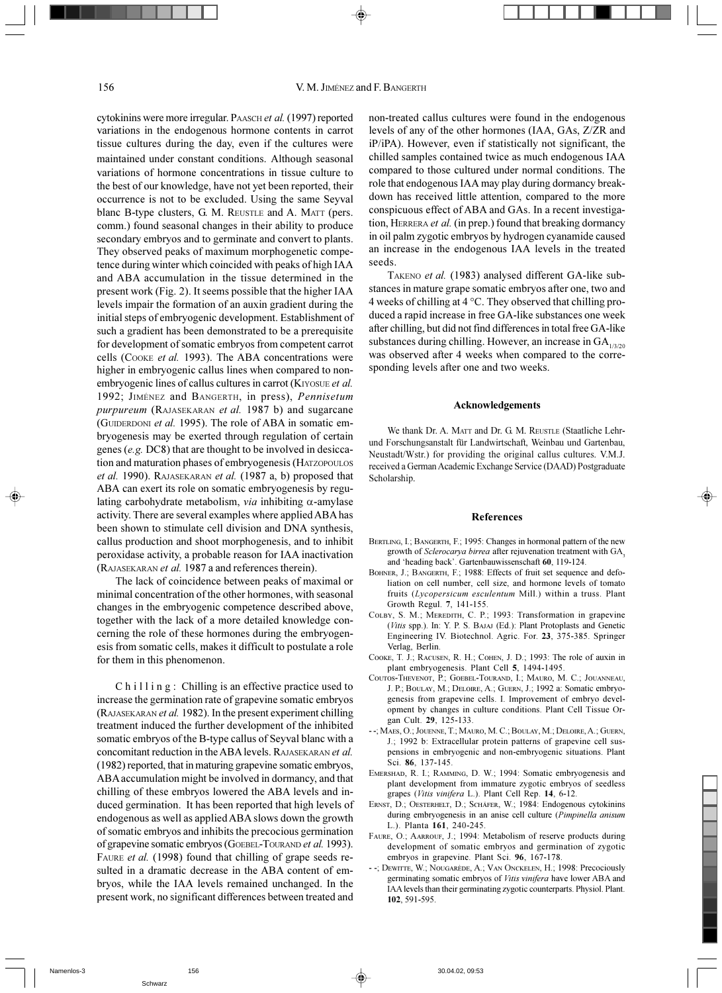cytokinins were more irregular. PAASCH et al. (1997) reported variations in the endogenous hormone contents in carrot tissue cultures during the day, even if the cultures were maintained under constant conditions. Although seasonal variations of hormone concentrations in tissue culture to the best of our knowledge, have not yet been reported, their occurrence is not to be excluded. Using the same Seyval blanc B-type clusters, G. M. REUSTLE and A. MATT (pers. comm.) found seasonal changes in their ability to produce secondary embryos and to germinate and convert to plants. They observed peaks of maximum morphogenetic competence during winter which coincided with peaks of high IAA and ABA accumulation in the tissue determined in the present work (Fig. 2). It seems possible that the higher IAA levels impair the formation of an auxin gradient during the initial steps of embryogenic development. Establishment of such a gradient has been demonstrated to be a prerequisite for development of somatic embryos from competent carrot cells (COOKE et al. 1993). The ABA concentrations were higher in embryogenic callus lines when compared to nonembryogenic lines of callus cultures in carrot (KIYOSUE et al. 1992; JIMÉNEZ and BANGERTH, in press), Pennisetum purpureum (RAJASEKARAN et al. 1987 b) and sugarcane (GUIDERDONI et al. 1995). The role of ABA in somatic embryogenesis may be exerted through regulation of certain genes (e.g. DC8) that are thought to be involved in desiccation and maturation phases of embryogenesis (HATZOPOULOS et al. 1990). RAJASEKARAN et al. (1987 a, b) proposed that ABA can exert its role on somatic embryogenesis by regulating carbohydrate metabolism, via inhibiting  $\alpha$ -amylase activity. There are several examples where applied ABA has been shown to stimulate cell division and DNA synthesis, callus production and shoot morphogenesis, and to inhibit peroxidase activity, a probable reason for IAA inactivation (RAJASEKARAN et al. 1987 a and references therein).

156

The lack of coincidence between peaks of maximal or minimal concentration of the other hormones, with seasonal changes in the embryogenic competence described above, together with the lack of a more detailed knowledge concerning the role of these hormones during the embryogenesis from somatic cells, makes it difficult to postulate a role for them in this phenomenon.

Chilling: Chilling is an effective practice used to increase the germination rate of grapevine somatic embryos (RAJASEKARAN *et al.* 1982). In the present experiment chilling treatment induced the further development of the inhibited somatic embryos of the B-type callus of Seyval blanc with a concomitant reduction in the ABA levels. RAJASEKARAN et al. (1982) reported, that in maturing grapevine somatic embryos, ABA accumulation might be involved in dormancy, and that chilling of these embryos lowered the ABA levels and induced germination. It has been reported that high levels of endogenous as well as applied ABA slows down the growth of somatic embryos and inhibits the precocious germination of grapevine somatic embryos (GOEBEL-TOURAND et al. 1993). FAURE et al. (1998) found that chilling of grape seeds resulted in a dramatic decrease in the ABA content of embryos, while the IAA levels remained unchanged. In the present work, no significant differences between treated and

non-treated callus cultures were found in the endogenous levels of any of the other hormones (IAA, GAs, Z/ZR and iP/iPA). However, even if statistically not significant, the chilled samples contained twice as much endogenous IAA compared to those cultured under normal conditions. The role that endogenous IAA may play during dormancy breakdown has received little attention, compared to the more conspicuous effect of ABA and GAs. In a recent investigation, HERRERA et al. (in prep.) found that breaking dormancy in oil palm zygotic embryos by hydrogen cyanamide caused an increase in the endogenous IAA levels in the treated seeds.

TAKENO et al. (1983) analysed different GA-like substances in mature grape somatic embryos after one, two and 4 weeks of chilling at  $4^{\circ}$ C. They observed that chilling produced a rapid increase in free GA-like substances one week after chilling, but did not find differences in total free GA-like substances during chilling. However, an increase in  $GA$ <sub>1/3/20</sub> was observed after 4 weeks when compared to the corresponding levels after one and two weeks.

#### Acknowledgements

We thank Dr. A. MATT and Dr. G. M. REUSTLE (Staatliche Lehrund Forschungsanstalt für Landwirtschaft, Weinbau und Gartenbau, Neustadt/Wstr.) for providing the original callus cultures. V.M.J. received a German Academic Exchange Service (DAAD) Postgraduate Scholarship.

# References

- BERTLING, I.; BANGERTH, F.; 1995: Changes in hormonal pattern of the new growth of Sclerocarya birrea after rejuvenation treatment with GA, and 'heading back'. Gartenbauwissenschaft 60, 119-124
- BOHNER, J.; BANGERTH, F.; 1988: Effects of fruit set sequence and defoliation on cell number, cell size, and hormone levels of tomato fruits (Lycopersicum esculentum Mill.) within a truss. Plant Growth Regul. 7, 141-155.
- COLBY, S. M.; MEREDITH, C. P.; 1993: Transformation in grapevine (Vitis spp.). In: Y. P. S. BAJAJ (Ed.): Plant Protoplasts and Genetic Engineering IV. Biotechnol. Agric. For. 23, 375-385. Springer Verlag, Berlin.
- COOKE, T. J.; RACUSEN, R. H.; COHEN, J. D.; 1993: The role of auxin in plant embryogenesis. Plant Cell 5, 1494-1495
- COUTOS-THEVENOT, P.; GOEBEL-TOURAND, I.; MAURO, M. C.; JOUANNEAU, J. P.: BOULAY, M.: DELOIRE, A.: GUERN, J.: 1992 a: Somatic embryogenesis from grapevine cells. I. Improvement of embryo development by changes in culture conditions. Plant Cell Tissue Organ Cult. 29, 125-133.
- --; MAES, O.; JOUENNE, T.; MAURO, M. C.; BOULAY, M.; DELOIRE, A.; GUERN, J.; 1992 b: Extracellular protein patterns of grapevine cell suspensions in embryogenic and non-embryogenic situations. Plant Sci. 86. 137-145.
- EMERSHAD, R. I.; RAMMING, D. W.; 1994: Somatic embryogenesis and plant development from immature zygotic embryos of seedless grapes (Vitis vinifera L.). Plant Cell Rep. 14, 6-12.
- ERNST, D.; OESTERHELT, D.; SCHÄFER, W.; 1984: Endogenous cytokinins during embryogenesis in an anise cell culture (Pimpinella anisum L.). Planta 161, 240-245.
- FAURE, O.; AARROUF, J.; 1994: Metabolism of reserve products during development of somatic embryos and germination of zygotic embryos in grapevine. Plant Sci. 96, 167-178.
- --; DEWITTE, W.; NOUGARÈDE, A.; VAN ONCKELEN, H.; 1998: Precociously germinating somatic embryos of *Vitis vinifera* have lower ABA and IAA levels than their germinating zygotic counterparts. Physiol. Plant. 102, 591-595

156